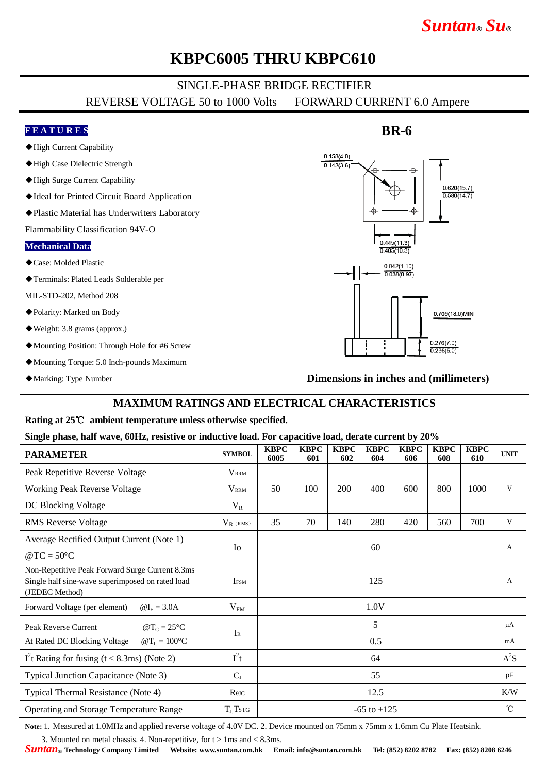# *Suntan***®** *Su***®**

## **KBPC6005 THRU KBPC610**

## SINGLE-PHASE BRIDGE RECTIFIER

REVERSE VOLTAGE 50 to 1000 Volts FORWARD CURRENT 6.0 Ampere

### **F E A T U R E S**

- ◆High Current Capability
- ◆High Case Dielectric Strength
- ◆High Surge Current Capability
- ◆Ideal for Printed Circuit Board Application
- ◆Plastic Material has Underwriters Laboratory

Flammability Classification 94V-O

#### **Mechanical Data**

- ◆Case: Molded Plastic
- ◆Terminals: Plated Leads Solderable per

MIL-STD-202, Method 208

- ◆Polarity: Marked on Body
- ◆Weight: 3.8 grams (approx.)
- ◆Mounting Position: Through Hole for #6 Screw
- ◆Mounting Torque: 5.0 Inch-pounds Maximum
- ◆Marking: Type Number

## $0.158(4.0)$  $0.142(3.6)$ ₳  $0.620(15.7)$  $0.580(14.7)$  $0.445(11.3)$  $0.405(10.3)$  $0.042(1.10)$  $0.038(0.97)$ 0.709(18.0)MIN  $0.276(7.0)$  $0.236(6.0)$

**BR-6**

**Dimensions in inches and (millimeters)**

### **MAXIMUM RATINGS AND ELECTRICAL CHARACTERISTICS**

#### **Rating at 25**℃ **ambient temperature unless otherwise specified.**

#### **Single phase, half wave, 60Hz, resistive or inductive load. For capacitive load, derate current by 20%**

| <b>PARAMETER</b>                                                                                                      | <b>SYMBOL</b> | <b>KBPC</b><br>6005 | <b>KBPC</b><br>601 | <b>KBPC</b><br>602 | <b>KBPC</b><br>604 | <b>KBPC</b><br>606 | <b>KBPC</b><br>608 | <b>KBPC</b><br>610 | <b>UNIT</b>     |
|-----------------------------------------------------------------------------------------------------------------------|---------------|---------------------|--------------------|--------------------|--------------------|--------------------|--------------------|--------------------|-----------------|
| Peak Repetitive Reverse Voltage                                                                                       | <b>VRRM</b>   |                     |                    |                    |                    |                    |                    |                    |                 |
| <b>Working Peak Reverse Voltage</b>                                                                                   | <b>VRRM</b>   | 50                  | 100                | 200                | 400                | 600                | 800                | 1000               | V               |
| DC Blocking Voltage                                                                                                   | $V_R$         |                     |                    |                    |                    |                    |                    |                    |                 |
| <b>RMS</b> Reverse Voltage                                                                                            | $V_{R}$ (RMS) | 35                  | 70                 | 140                | 280                | 420                | 560                | 700                | V               |
| Average Rectified Output Current (Note 1)                                                                             |               | 60                  |                    |                    |                    |                    |                    |                    | A               |
| $@TC = 50°C$                                                                                                          | <b>I</b> o    |                     |                    |                    |                    |                    |                    |                    |                 |
| Non-Repetitive Peak Forward Surge Current 8.3ms<br>Single half sine-wave superimposed on rated load<br>(JEDEC Method) | <b>IFSM</b>   | 125                 |                    |                    |                    |                    |                    |                    | A               |
| Forward Voltage (per element)<br>$\omega I_F = 3.0$ A                                                                 | $V_{FM}$      | 1.0V                |                    |                    |                    |                    |                    |                    |                 |
| Peak Reverse Current<br>$\omega T_C = 25^{\circ}C$                                                                    | $I_{R}$       | 5                   |                    |                    |                    |                    |                    |                    | $\mu A$         |
| At Rated DC Blocking Voltage<br>$\omega T_c = 100^{\circ}C$                                                           |               |                     |                    |                    | 0.5                |                    |                    |                    | mA              |
| $I2t$ Rating for fusing (t < 8.3ms) (Note 2)                                                                          | $I^2t$        | 64                  |                    |                    |                    |                    |                    |                    | $A^2S$          |
| Typical Junction Capacitance (Note 3)                                                                                 | $C_{J}$       | 55                  |                    |                    |                    |                    |                    |                    | pF              |
| Typical Thermal Resistance (Note 4)                                                                                   | $R\theta$ JC  | 12.5                |                    |                    |                    |                    |                    |                    | K/W             |
| Operating and Storage Temperature Range                                                                               | $T_{J}$ Tstg  | $-65$ to $+125$     |                    |                    |                    |                    |                    |                    | $\rm ^{\circ}C$ |

**Note:** 1. Measured at 1.0MHz and applied reverse voltage of 4.0V DC. 2. Device mounted on 75mm x 75mm x 1.6mm Cu Plate Heatsink.

3. Mounted on metal chassis. 4. Non-repetitive, for  $t > 1$  ms and  $< 8.3$  ms.

*Suntan*® **Technology Company Limited Website: www.suntan.com.hk Email: info@suntan.com.hk Tel: (852) 8202 8782 Fax: (852) 8208 6246**